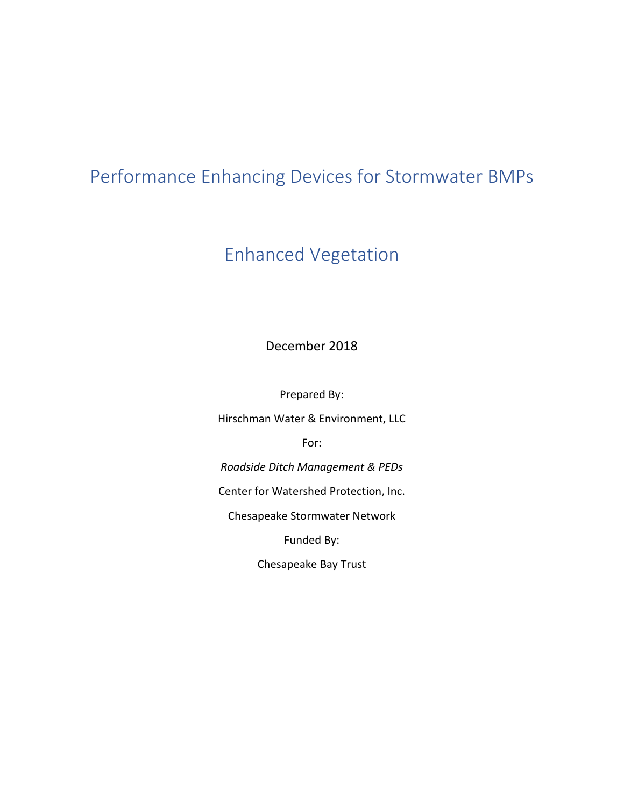# Performance Enhancing Devices for Stormwater BMPs

# Enhanced Vegetation

December 2018

Prepared By:

Hirschman Water & Environment, LLC

For:

*Roadside Ditch Management & PEDs*

Center for Watershed Protection, Inc.

Chesapeake Stormwater Network

Funded By:

Chesapeake Bay Trust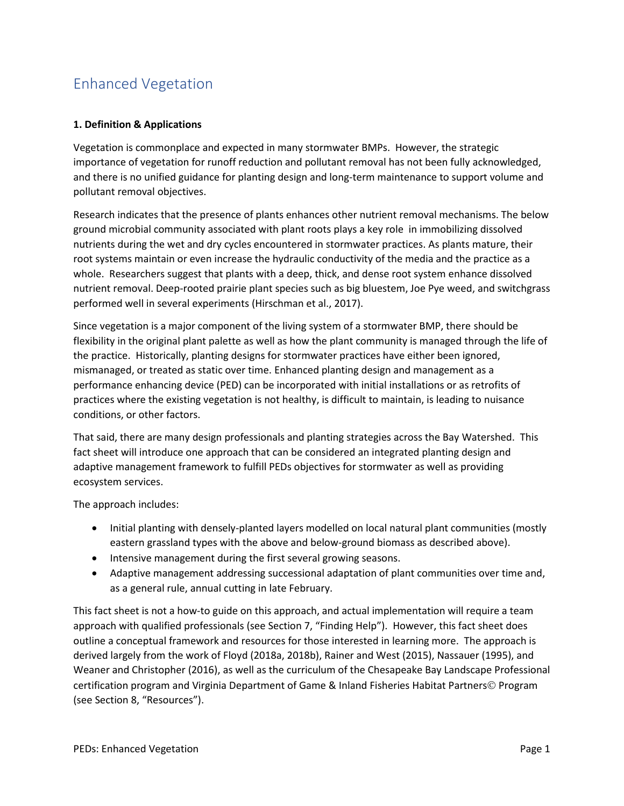## Enhanced Vegetation

## **1. Definition & Applications**

Vegetation is commonplace and expected in many stormwater BMPs. However, the strategic importance of vegetation for runoff reduction and pollutant removal has not been fully acknowledged, and there is no unified guidance for planting design and long-term maintenance to support volume and pollutant removal objectives.

Research indicates that the presence of plants enhances other nutrient removal mechanisms. The below ground microbial community associated with plant roots plays a key role in immobilizing dissolved nutrients during the wet and dry cycles encountered in stormwater practices. As plants mature, their root systems maintain or even increase the hydraulic conductivity of the media and the practice as a whole. Researchers suggest that plants with a deep, thick, and dense root system enhance dissolved nutrient removal. Deep-rooted prairie plant species such as big bluestem, Joe Pye weed, and switchgrass performed well in several experiments (Hirschman et al., 2017).

Since vegetation is a major component of the living system of a stormwater BMP, there should be flexibility in the original plant palette as well as how the plant community is managed through the life of the practice. Historically, planting designs for stormwater practices have either been ignored, mismanaged, or treated as static over time. Enhanced planting design and management as a performance enhancing device (PED) can be incorporated with initial installations or as retrofits of practices where the existing vegetation is not healthy, is difficult to maintain, is leading to nuisance conditions, or other factors.

That said, there are many design professionals and planting strategies across the Bay Watershed. This fact sheet will introduce one approach that can be considered an integrated planting design and adaptive management framework to fulfill PEDs objectives for stormwater as well as providing ecosystem services.

The approach includes:

- Initial planting with densely-planted layers modelled on local natural plant communities (mostly eastern grassland types with the above and below-ground biomass as described above).
- Intensive management during the first several growing seasons.
- Adaptive management addressing successional adaptation of plant communities over time and, as a general rule, annual cutting in late February.

This fact sheet is not a how-to guide on this approach, and actual implementation will require a team approach with qualified professionals (see Section 7, "Finding Help"). However, this fact sheet does outline a conceptual framework and resources for those interested in learning more. The approach is derived largely from the work of Floyd (2018a, 2018b), Rainer and West (2015), Nassauer (1995), and Weaner and Christopher (2016), as well as the curriculum of the Chesapeake Bay Landscape Professional certification program and Virginia Department of Game & Inland Fisheries Habitat Partners© Program (see Section 8, "Resources").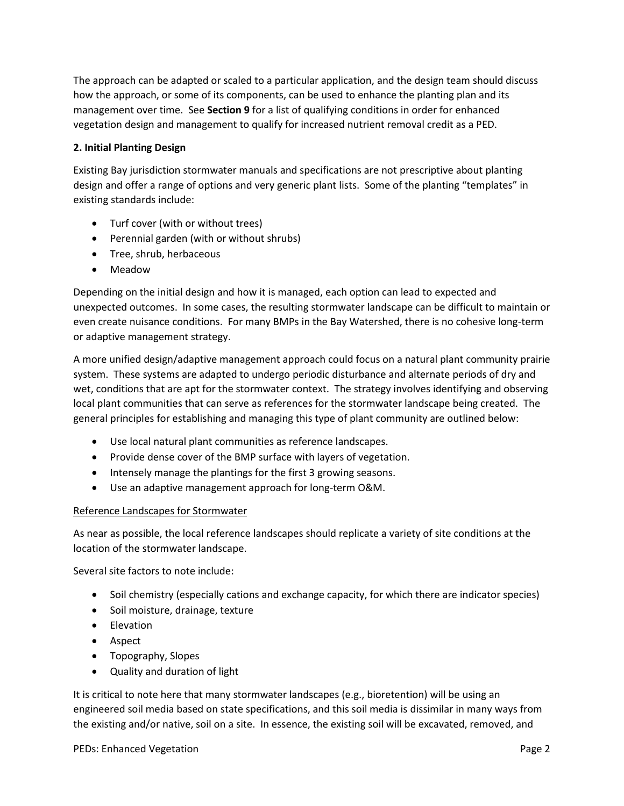The approach can be adapted or scaled to a particular application, and the design team should discuss how the approach, or some of its components, can be used to enhance the planting plan and its management over time. See **Section 9** for a list of qualifying conditions in order for enhanced vegetation design and management to qualify for increased nutrient removal credit as a PED.

### **2. Initial Planting Design**

Existing Bay jurisdiction stormwater manuals and specifications are not prescriptive about planting design and offer a range of options and very generic plant lists. Some of the planting "templates" in existing standards include:

- Turf cover (with or without trees)
- Perennial garden (with or without shrubs)
- Tree, shrub, herbaceous
- Meadow

Depending on the initial design and how it is managed, each option can lead to expected and unexpected outcomes. In some cases, the resulting stormwater landscape can be difficult to maintain or even create nuisance conditions. For many BMPs in the Bay Watershed, there is no cohesive long-term or adaptive management strategy.

A more unified design/adaptive management approach could focus on a natural plant community prairie system. These systems are adapted to undergo periodic disturbance and alternate periods of dry and wet, conditions that are apt for the stormwater context. The strategy involves identifying and observing local plant communities that can serve as references for the stormwater landscape being created. The general principles for establishing and managing this type of plant community are outlined below:

- Use local natural plant communities as reference landscapes.
- Provide dense cover of the BMP surface with layers of vegetation.
- Intensely manage the plantings for the first 3 growing seasons.
- Use an adaptive management approach for long-term O&M.

#### Reference Landscapes for Stormwater

As near as possible, the local reference landscapes should replicate a variety of site conditions at the location of the stormwater landscape.

Several site factors to note include:

- Soil chemistry (especially cations and exchange capacity, for which there are indicator species)
- Soil moisture, drainage, texture
- Elevation
- Aspect
- Topography, Slopes
- Quality and duration of light

It is critical to note here that many stormwater landscapes (e.g., bioretention) will be using an engineered soil media based on state specifications, and this soil media is dissimilar in many ways from the existing and/or native, soil on a site. In essence, the existing soil will be excavated, removed, and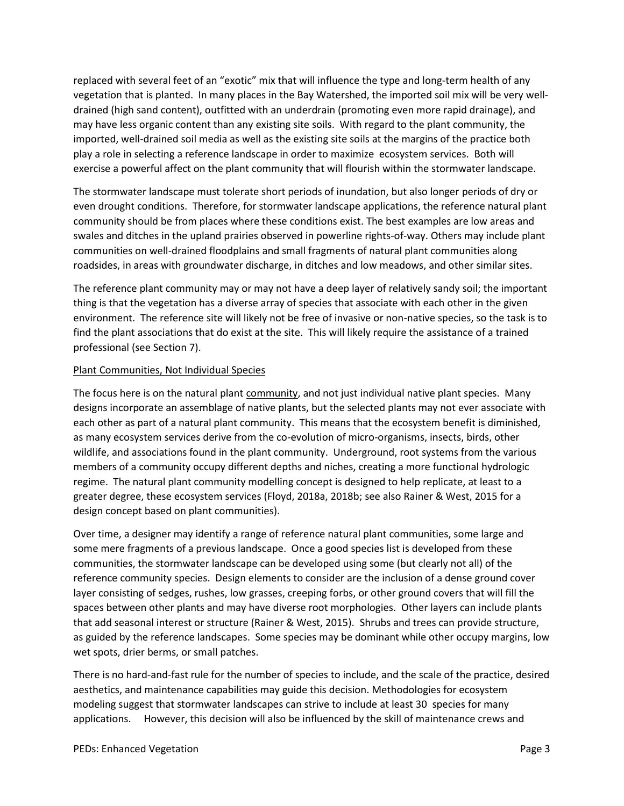replaced with several feet of an "exotic" mix that will influence the type and long-term health of any vegetation that is planted. In many places in the Bay Watershed, the imported soil mix will be very welldrained (high sand content), outfitted with an underdrain (promoting even more rapid drainage), and may have less organic content than any existing site soils. With regard to the plant community, the imported, well-drained soil media as well as the existing site soils at the margins of the practice both play a role in selecting a reference landscape in order to maximize ecosystem services. Both will exercise a powerful affect on the plant community that will flourish within the stormwater landscape.

The stormwater landscape must tolerate short periods of inundation, but also longer periods of dry or even drought conditions. Therefore, for stormwater landscape applications, the reference natural plant community should be from places where these conditions exist. The best examples are low areas and swales and ditches in the upland prairies observed in powerline rights-of-way. Others may include plant communities on well-drained floodplains and small fragments of natural plant communities along roadsides, in areas with groundwater discharge, in ditches and low meadows, and other similar sites.

The reference plant community may or may not have a deep layer of relatively sandy soil; the important thing is that the vegetation has a diverse array of species that associate with each other in the given environment. The reference site will likely not be free of invasive or non-native species, so the task is to find the plant associations that do exist at the site. This will likely require the assistance of a trained professional (see Section 7).

#### Plant Communities, Not Individual Species

The focus here is on the natural plant community, and not just individual native plant species. Many designs incorporate an assemblage of native plants, but the selected plants may not ever associate with each other as part of a natural plant community. This means that the ecosystem benefit is diminished, as many ecosystem services derive from the co-evolution of micro-organisms, insects, birds, other wildlife, and associations found in the plant community. Underground, root systems from the various members of a community occupy different depths and niches, creating a more functional hydrologic regime. The natural plant community modelling concept is designed to help replicate, at least to a greater degree, these ecosystem services (Floyd, 2018a, 2018b; see also Rainer & West, 2015 for a design concept based on plant communities).

Over time, a designer may identify a range of reference natural plant communities, some large and some mere fragments of a previous landscape. Once a good species list is developed from these communities, the stormwater landscape can be developed using some (but clearly not all) of the reference community species. Design elements to consider are the inclusion of a dense ground cover layer consisting of sedges, rushes, low grasses, creeping forbs, or other ground covers that will fill the spaces between other plants and may have diverse root morphologies. Other layers can include plants that add seasonal interest or structure (Rainer & West, 2015). Shrubs and trees can provide structure, as guided by the reference landscapes. Some species may be dominant while other occupy margins, low wet spots, drier berms, or small patches.

There is no hard-and-fast rule for the number of species to include, and the scale of the practice, desired aesthetics, and maintenance capabilities may guide this decision. Methodologies for ecosystem modeling suggest that stormwater landscapes can strive to include at least 30 species for many applications. However, this decision will also be influenced by the skill of maintenance crews and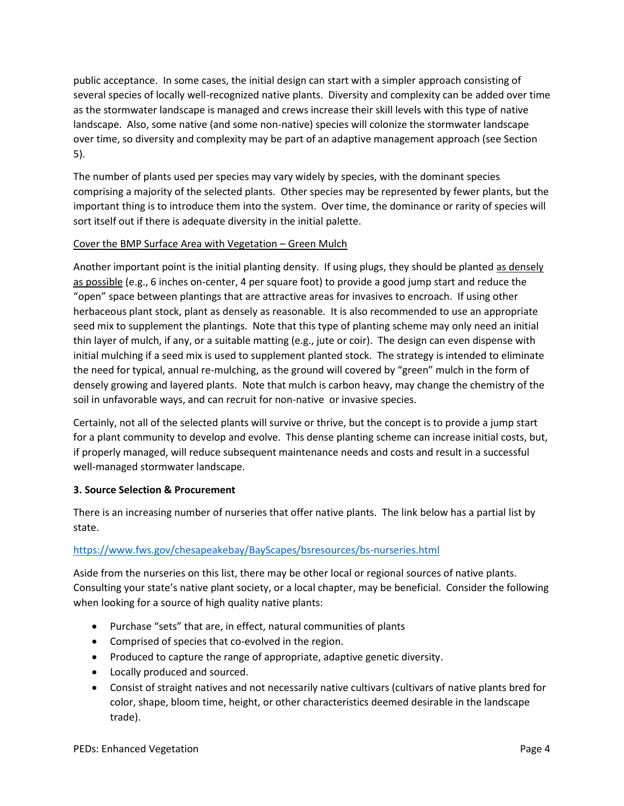public acceptance. In some cases, the initial design can start with a simpler approach consisting of several species of locally well-recognized native plants. Diversity and complexity can be added over time as the stormwater landscape is managed and crews increase their skill levels with this type of native landscape. Also, some native (and some non-native) species will colonize the stormwater landscape over time, so diversity and complexity may be part of an adaptive management approach (see Section 5).

The number of plants used per species may vary widely by species, with the dominant species comprising a majority of the selected plants. Other species may be represented by fewer plants, but the important thing is to introduce them into the system. Over time, the dominance or rarity of species will sort itself out if there is adequate diversity in the initial palette.

## Cover the BMP Surface Area with Vegetation – Green Mulch

Another important point is the initial planting density. If using plugs, they should be planted as densely as possible (e.g., 6 inches on-center, 4 per square foot) to provide a good jump start and reduce the "open" space between plantings that are attractive areas for invasives to encroach. If using other herbaceous plant stock, plant as densely as reasonable. It is also recommended to use an appropriate seed mix to supplement the plantings. Note that this type of planting scheme may only need an initial thin layer of mulch, if any, or a suitable matting (e.g., jute or coir). The design can even dispense with initial mulching if a seed mix is used to supplement planted stock. The strategy is intended to eliminate the need for typical, annual re-mulching, as the ground will covered by "green" mulch in the form of densely growing and layered plants. Note that mulch is carbon heavy, may change the chemistry of the soil in unfavorable ways, and can recruit for non-native or invasive species.

Certainly, not all of the selected plants will survive or thrive, but the concept is to provide a jump start for a plant community to develop and evolve. This dense planting scheme can increase initial costs, but, if properly managed, will reduce subsequent maintenance needs and costs and result in a successful well-managed stormwater landscape.

## **3. Source Selection & Procurement**

There is an increasing number of nurseries that offer native plants. The link below has a partial list by state.

## <https://www.fws.gov/chesapeakebay/BayScapes/bsresources/bs-nurseries.html>

Aside from the nurseries on this list, there may be other local or regional sources of native plants. Consulting your state's native plant society, or a local chapter, may be beneficial. Consider the following when looking for a source of high quality native plants:

- Purchase "sets" that are, in effect, natural communities of plants
- Comprised of species that co-evolved in the region.
- Produced to capture the range of appropriate, adaptive genetic diversity.
- Locally produced and sourced.
- Consist of straight natives and not necessarily native cultivars (cultivars of native plants bred for color, shape, bloom time, height, or other characteristics deemed desirable in the landscape trade).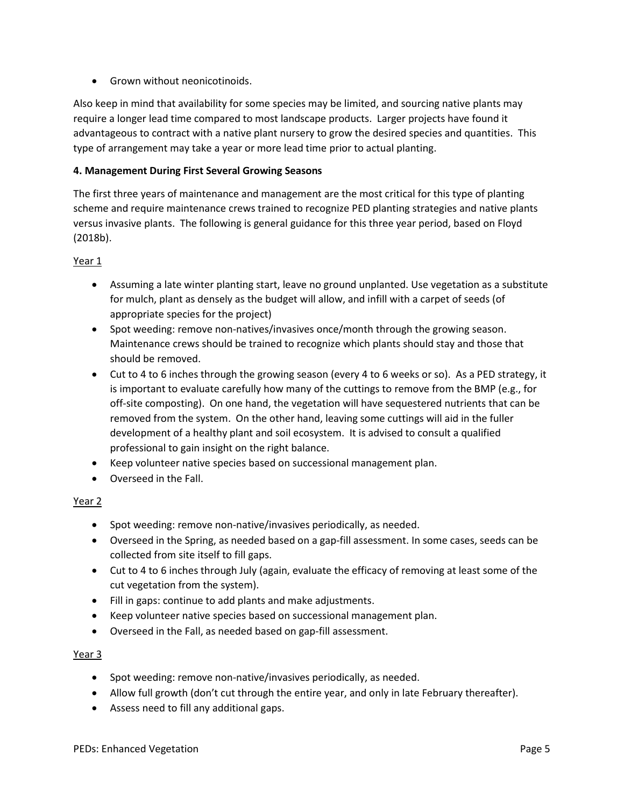• Grown without neonicotinoids.

Also keep in mind that availability for some species may be limited, and sourcing native plants may require a longer lead time compared to most landscape products. Larger projects have found it advantageous to contract with a native plant nursery to grow the desired species and quantities. This type of arrangement may take a year or more lead time prior to actual planting.

### **4. Management During First Several Growing Seasons**

The first three years of maintenance and management are the most critical for this type of planting scheme and require maintenance crews trained to recognize PED planting strategies and native plants versus invasive plants. The following is general guidance for this three year period, based on Floyd (2018b).

#### Year 1

- Assuming a late winter planting start, leave no ground unplanted. Use vegetation as a substitute for mulch, plant as densely as the budget will allow, and infill with a carpet of seeds (of appropriate species for the project)
- Spot weeding: remove non-natives/invasives once/month through the growing season. Maintenance crews should be trained to recognize which plants should stay and those that should be removed.
- Cut to 4 to 6 inches through the growing season (every 4 to 6 weeks or so). As a PED strategy, it is important to evaluate carefully how many of the cuttings to remove from the BMP (e.g., for off-site composting). On one hand, the vegetation will have sequestered nutrients that can be removed from the system. On the other hand, leaving some cuttings will aid in the fuller development of a healthy plant and soil ecosystem. It is advised to consult a qualified professional to gain insight on the right balance.
- Keep volunteer native species based on successional management plan.
- Overseed in the Fall.

#### Year 2

- Spot weeding: remove non-native/invasives periodically, as needed.
- Overseed in the Spring, as needed based on a gap-fill assessment. In some cases, seeds can be collected from site itself to fill gaps.
- Cut to 4 to 6 inches through July (again, evaluate the efficacy of removing at least some of the cut vegetation from the system).
- Fill in gaps: continue to add plants and make adjustments.
- Keep volunteer native species based on successional management plan.
- Overseed in the Fall, as needed based on gap-fill assessment.

#### Year 3

- Spot weeding: remove non-native/invasives periodically, as needed.
- Allow full growth (don't cut through the entire year, and only in late February thereafter).
- Assess need to fill any additional gaps.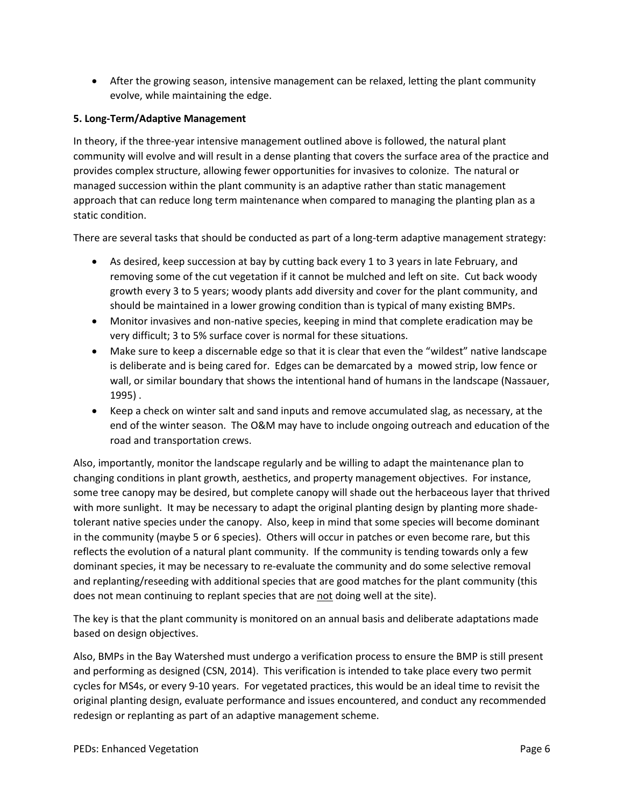• After the growing season, intensive management can be relaxed, letting the plant community evolve, while maintaining the edge.

## **5. Long-Term/Adaptive Management**

In theory, if the three-year intensive management outlined above is followed, the natural plant community will evolve and will result in a dense planting that covers the surface area of the practice and provides complex structure, allowing fewer opportunities for invasives to colonize. The natural or managed succession within the plant community is an adaptive rather than static management approach that can reduce long term maintenance when compared to managing the planting plan as a static condition.

There are several tasks that should be conducted as part of a long-term adaptive management strategy:

- As desired, keep succession at bay by cutting back every 1 to 3 years in late February, and removing some of the cut vegetation if it cannot be mulched and left on site. Cut back woody growth every 3 to 5 years; woody plants add diversity and cover for the plant community, and should be maintained in a lower growing condition than is typical of many existing BMPs.
- Monitor invasives and non-native species, keeping in mind that complete eradication may be very difficult; 3 to 5% surface cover is normal for these situations.
- Make sure to keep a discernable edge so that it is clear that even the "wildest" native landscape is deliberate and is being cared for. Edges can be demarcated by a mowed strip, low fence or wall, or similar boundary that shows the intentional hand of humans in the landscape (Nassauer, 1995) .
- Keep a check on winter salt and sand inputs and remove accumulated slag, as necessary, at the end of the winter season. The O&M may have to include ongoing outreach and education of the road and transportation crews.

Also, importantly, monitor the landscape regularly and be willing to adapt the maintenance plan to changing conditions in plant growth, aesthetics, and property management objectives. For instance, some tree canopy may be desired, but complete canopy will shade out the herbaceous layer that thrived with more sunlight. It may be necessary to adapt the original planting design by planting more shadetolerant native species under the canopy. Also, keep in mind that some species will become dominant in the community (maybe 5 or 6 species). Others will occur in patches or even become rare, but this reflects the evolution of a natural plant community. If the community is tending towards only a few dominant species, it may be necessary to re-evaluate the community and do some selective removal and replanting/reseeding with additional species that are good matches for the plant community (this does not mean continuing to replant species that are not doing well at the site).

The key is that the plant community is monitored on an annual basis and deliberate adaptations made based on design objectives.

Also, BMPs in the Bay Watershed must undergo a verification process to ensure the BMP is still present and performing as designed (CSN, 2014). This verification is intended to take place every two permit cycles for MS4s, or every 9-10 years. For vegetated practices, this would be an ideal time to revisit the original planting design, evaluate performance and issues encountered, and conduct any recommended redesign or replanting as part of an adaptive management scheme.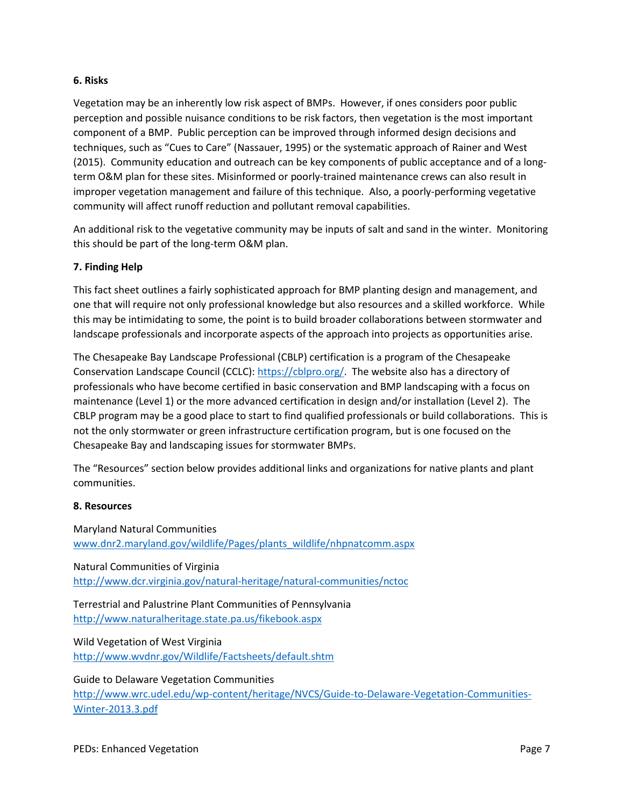#### **6. Risks**

Vegetation may be an inherently low risk aspect of BMPs. However, if ones considers poor public perception and possible nuisance conditions to be risk factors, then vegetation is the most important component of a BMP. Public perception can be improved through informed design decisions and techniques, such as "Cues to Care" (Nassauer, 1995) or the systematic approach of Rainer and West (2015). Community education and outreach can be key components of public acceptance and of a longterm O&M plan for these sites. Misinformed or poorly-trained maintenance crews can also result in improper vegetation management and failure of this technique. Also, a poorly-performing vegetative community will affect runoff reduction and pollutant removal capabilities.

An additional risk to the vegetative community may be inputs of salt and sand in the winter. Monitoring this should be part of the long-term O&M plan.

#### **7. Finding Help**

This fact sheet outlines a fairly sophisticated approach for BMP planting design and management, and one that will require not only professional knowledge but also resources and a skilled workforce. While this may be intimidating to some, the point is to build broader collaborations between stormwater and landscape professionals and incorporate aspects of the approach into projects as opportunities arise.

The Chesapeake Bay Landscape Professional (CBLP) certification is a program of the Chesapeake Conservation Landscape Council (CCLC)[: https://cblpro.org/.](https://cblpro.org/) The website also has a directory of professionals who have become certified in basic conservation and BMP landscaping with a focus on maintenance (Level 1) or the more advanced certification in design and/or installation (Level 2). The CBLP program may be a good place to start to find qualified professionals or build collaborations. This is not the only stormwater or green infrastructure certification program, but is one focused on the Chesapeake Bay and landscaping issues for stormwater BMPs.

The "Resources" section below provides additional links and organizations for native plants and plant communities.

#### **8. Resources**

Maryland Natural Communities [www.dnr2.maryland.gov/wildlife/Pages/plants\\_wildlife/nhpnatcomm.aspx](http://www.dnr2.maryland.gov/wildlife/Pages/plants_wildlife/nhpnatcomm.aspx)

Natural Communities of Virginia <http://www.dcr.virginia.gov/natural-heritage/natural-communities/nctoc>

Terrestrial and Palustrine Plant Communities of Pennsylvania <http://www.naturalheritage.state.pa.us/fikebook.aspx>

Wild Vegetation of West Virginia <http://www.wvdnr.gov/Wildlife/Factsheets/default.shtm>

Guide to Delaware Vegetation Communities

[http://www.wrc.udel.edu/wp-content/heritage/NVCS/Guide-to-Delaware-Vegetation-Communities-](http://www.wrc.udel.edu/wp-content/heritage/NVCS/Guide-to-Delaware-Vegetation-Communities-Winter-2013.3.pdf)[Winter-2013.3.pdf](http://www.wrc.udel.edu/wp-content/heritage/NVCS/Guide-to-Delaware-Vegetation-Communities-Winter-2013.3.pdf)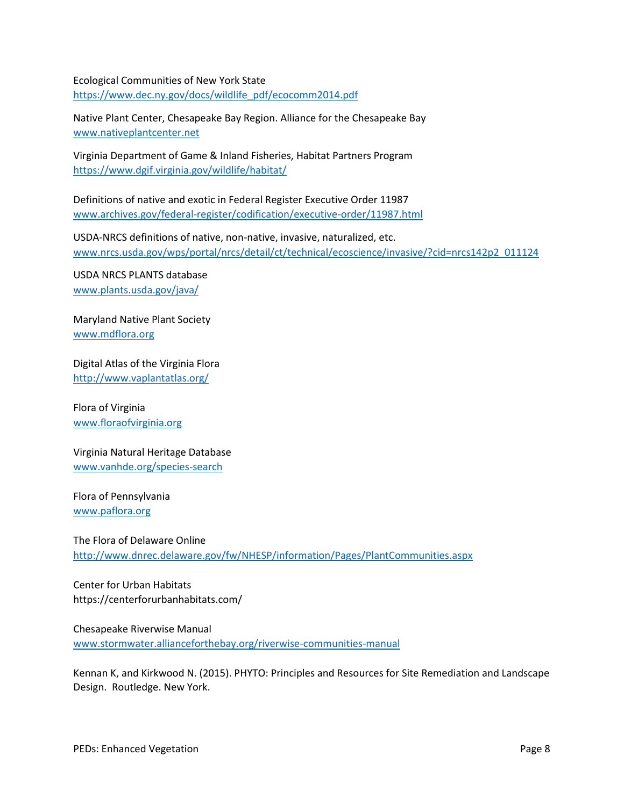Ecological Communities of New York State [https://www.dec.ny.gov/docs/wildlife\\_pdf/ecocomm2014.pdf](https://www.dec.ny.gov/docs/wildlife_pdf/ecocomm2014.pdf)

Native Plant Center, Chesapeake Bay Region. Alliance for the Chesapeake Bay [www.nativeplantcenter.net](http://www.nativeplantcenter.net/)

Virginia Department of Game & Inland Fisheries, Habitat Partners Program <https://www.dgif.virginia.gov/wildlife/habitat/>

Definitions of native and exotic in Federal Register Executive Order 11987 [www.archives.gov/federal-register/codification/executive-order/11987.html](http://www.archives.gov/federal-register/codification/executive-order/11987.html)

USDA-NRCS definitions of native, non-native, invasive, naturalized, etc. [www.nrcs.usda.gov/wps/portal/nrcs/detail/ct/technical/ecoscience/invasive/?cid=nrcs142p2\\_011124](http://www.nrcs.usda.gov/wps/portal/nrcs/detail/ct/technical/ecoscience/invasive/?cid=nrcs142p2_011124)

USDA NRCS PLANTS database [www.plants.usda.gov/java/](http://www.plants.usda.gov/java/)

Maryland Native Plant Society [www.mdflora.org](http://www.mdflora.org/)

Digital Atlas of the Virginia Flora <http://www.vaplantatlas.org/>

Flora of Virginia [www.floraofvirginia.org](http://www.floraofvirginia.org/)

Virginia Natural Heritage Database [www.vanhde.org/species-search](http://www.vanhde.org/species-search)

Flora of Pennsylvania [www.paflora.org](http://www.paflora.org/)

The Flora of Delaware Online <http://www.dnrec.delaware.gov/fw/NHESP/information/Pages/PlantCommunities.aspx>

Center for Urban Habitats https://centerforurbanhabitats.com/

Chesapeake Riverwise Manual [www.stormwater.allianceforthebay.org/riverwise-communities-manual](http://www.stormwater.allianceforthebay.org/riverwise-communities-manual)

Kennan K, and Kirkwood N. (2015). PHYTO: Principles and Resources for Site Remediation and Landscape Design. Routledge. New York.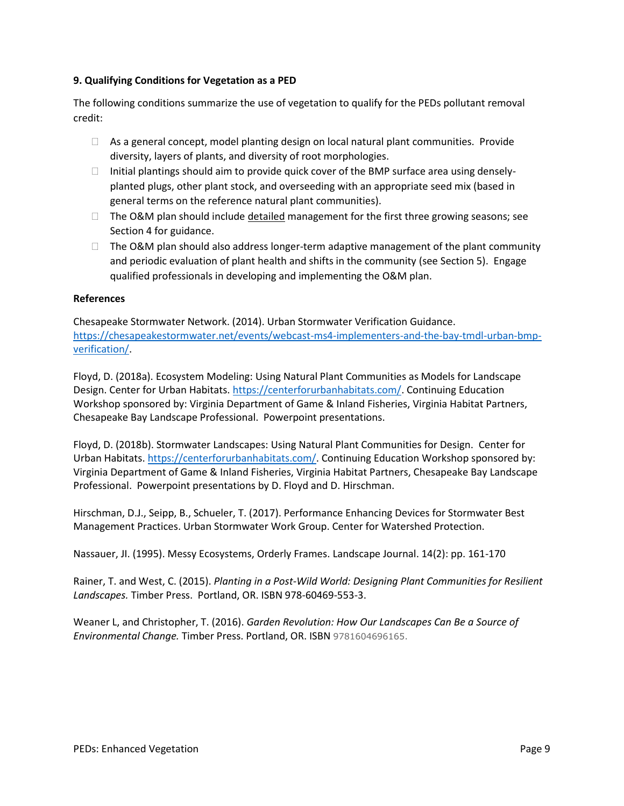#### **9. Qualifying Conditions for Vegetation as a PED**

The following conditions summarize the use of vegetation to qualify for the PEDs pollutant removal credit:

- $\Box$  As a general concept, model planting design on local natural plant communities. Provide diversity, layers of plants, and diversity of root morphologies.
- $\Box$  Initial plantings should aim to provide quick cover of the BMP surface area using denselyplanted plugs, other plant stock, and overseeding with an appropriate seed mix (based in general terms on the reference natural plant communities).
- □ The O&M plan should include detailed management for the first three growing seasons; see Section 4 for guidance.
- $\Box$  The O&M plan should also address longer-term adaptive management of the plant community and periodic evaluation of plant health and shifts in the community (see Section 5). Engage qualified professionals in developing and implementing the O&M plan.

#### **References**

Chesapeake Stormwater Network. (2014). Urban Stormwater Verification Guidance. [https://chesapeakestormwater.net/events/webcast-ms4-implementers-and-the-bay-tmdl-urban-bmp](https://chesapeakestormwater.net/events/webcast-ms4-implementers-and-the-bay-tmdl-urban-bmp-verification/)[verification/.](https://chesapeakestormwater.net/events/webcast-ms4-implementers-and-the-bay-tmdl-urban-bmp-verification/)

Floyd, D. (2018a). Ecosystem Modeling: Using Natural Plant Communities as Models for Landscape Design. Center for Urban Habitats. [https://centerforurbanhabitats.com/.](https://centerforurbanhabitats.com/) Continuing Education Workshop sponsored by: Virginia Department of Game & Inland Fisheries, Virginia Habitat Partners, Chesapeake Bay Landscape Professional. Powerpoint presentations.

Floyd, D. (2018b). Stormwater Landscapes: Using Natural Plant Communities for Design. Center for Urban Habitats. [https://centerforurbanhabitats.com/.](https://centerforurbanhabitats.com/) Continuing Education Workshop sponsored by: Virginia Department of Game & Inland Fisheries, Virginia Habitat Partners, Chesapeake Bay Landscape Professional. Powerpoint presentations by D. Floyd and D. Hirschman.

Hirschman, D.J., Seipp, B., Schueler, T. (2017). Performance Enhancing Devices for Stormwater Best Management Practices. Urban Stormwater Work Group. Center for Watershed Protection.

Nassauer, JI. (1995). Messy Ecosystems, Orderly Frames. Landscape Journal. 14(2): pp. 161-170

Rainer, T. and West, C. (2015). *Planting in a Post-Wild World: Designing Plant Communities for Resilient Landscapes.* Timber Press. Portland, OR. ISBN 978-60469-553-3.

Weaner L, and Christopher, T. (2016). *Garden Revolution: How Our Landscapes Can Be a Source of Environmental Change.* Timber Press. Portland, OR. ISBN 9781604696165.